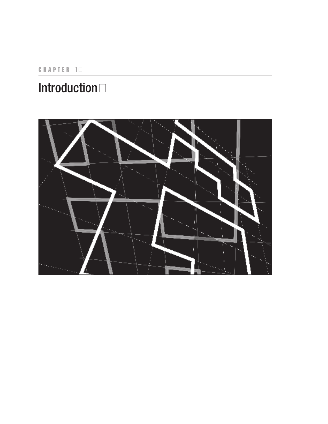CHAPTER 1

## **Introduction**

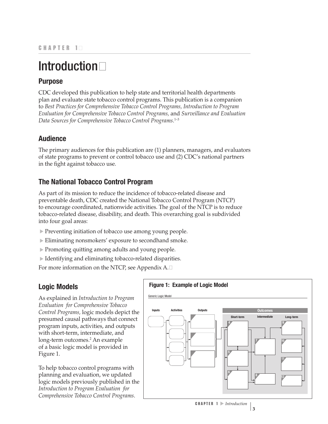# **Introduction**

## **Purpose**

CDC developed this publication to help state and territorial health departments plan and evaluate state tobacco control programs. This publication is a companion to *Best Practices for Comprehensive Tobacco Control Programs, Introduction to Program Evaluation for Comprehensive Tobacco Control Programs,* and *Surveillance and Evaluation*  Data Sources for Comprehensive Tobacco Control Programs.<sup>1–3</sup>

## **Audience**

The primary audiences for this publication are (1) planners, managers, and evaluators of state programs to prevent or control tobacco use and (2) CDC's national partners in the fight against tobacco use.

## **The National Tobacco Control Program**

As part of its mission to reduce the incidence of tobacco-related disease and preventable death, CDC created the National Tobacco Control Program (NTCP) to encourage coordinated, nationwide activities. The goal of the NTCP is to reduce tobacco-related disease, disability, and death. This overarching goal is subdivided into four goal areas:

- > Preventing initiation of tobacco use among young people.
- Eliminating nonsmokers' exposure to secondhand smoke.
- ▲ Promoting quitting among adults and young people.
- **Example 1** Identifying and eliminating tobacco-related disparities.

For more information on the NTCP, see Appendix  $A.\Box$ 

## **Logic Models**

As explained in *Introduction to Program Evaluation for Comprehensive Tobacco Control Programs,* logic models depict the presumed causal pathways that connect program inputs, activities, and outputs with short-term, intermediate, and long-term outcomes.<sup>2</sup> An example of a basic logic model is provided in Figure 1.

To help tobacco control programs with planning and evaluation, we updated logic models previously published in the *Introduction to Program Evaluation for Comprehensive Tobacco Control Programs*.

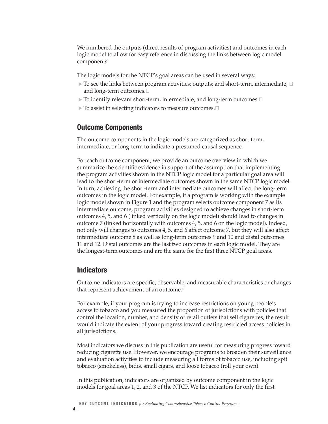We numbered the outputs (direct results of program activities) and outcomes in each logic model to allow for easy reference in discussing the links between logic model components.

The logic models for the NTCP's goal areas can be used in several ways:

- $\triangleright$  To see the links between program activities; outputs; and short-term, intermediate,  $\Box$ and long-term outcomes. $\Box$
- $>$  To identify relevant short-term, intermediate, and long-term outcomes. $\Box$
- $\triangleright$  To assist in selecting indicators to measure outcomes.  $\Box$

#### **Outcome Components**

The outcome components in the logic models are categorized as short-term, intermediate, or long-term to indicate a presumed causal sequence.

For each outcome component, we provide an outcome overview in which we summarize the scientific evidence in support of the assumption that implementing the program activities shown in the NTCP logic model for a particular goal area will lead to the short-term or intermediate outcomes shown in the same NTCP logic model. In turn, achieving the short-term and intermediate outcomes will affect the long-term outcomes in the logic model. For example, if a program is working with the example logic model shown in Figure 1 and the program selects outcome component 7 as its intermediate outcome, program activities designed to achieve changes in short-term outcomes 4, 5, and 6 (linked vertically on the logic model) should lead to changes in outcome 7 (linked horizontally with outcomes 4, 5, and 6 on the logic model). Indeed, not only will changes to outcomes 4, 5, and 6 affect outcome 7, but they will also affect intermediate outcome 8 as well as long-term outcomes 9 and 10 and distal outcomes 11 and 12. Distal outcomes are the last two outcomes in each logic model. They are the longest-term outcomes and are the same for the first three NTCP goal areas.

#### **Indicators**

**4**

Outcome indicators are specific, observable, and measurable characteristics or changes that represent achievement of an outcome.<sup>4</sup>

For example, if your program is trying to increase restrictions on young people's access to tobacco and you measured the proportion of jurisdictions with policies that control the location, number, and density of retail outlets that sell cigarettes, the result would indicate the extent of your progress toward creating restricted access policies in all jurisdictions.

Most indicators we discuss in this publication are useful for measuring progress toward reducing cigarette use. However, we encourage programs to broaden their surveillance and evaluation activities to include measuring all forms of tobacco use, including spit tobacco (smokeless), bidis, small cigars, and loose tobacco (roll your own).

In this publication, indicators are organized by outcome component in the logic models for goal areas 1, 2, and 3 of the NTCP. We list indicators for only the first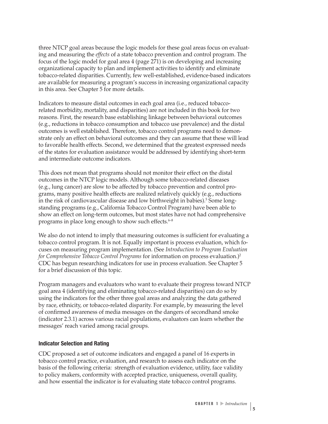three NTCP goal areas because the logic models for these goal areas focus on evaluating and measuring the *effects* of a state tobacco prevention and control program. The focus of the logic model for goal area 4 (page 271) is on developing and increasing organizational capacity to plan and implement activities to identify and eliminate tobacco-related disparities. Currently, few well-established, evidence-based indicators are available for measuring a program's success in increasing organizational capacity in this area. See Chapter 5 for more details.

Indicators to measure distal outcomes in each goal area (i.e., reduced tobaccorelated morbidity, mortality, and disparities) are not included in this book for two reasons. First, the research base establishing linkage between behavioral outcomes (e.g., reductions in tobacco consumption and tobacco use prevalence) and the distal outcomes is well established. Therefore, tobacco control programs need to demonstrate only an effect on behavioral outcomes and they can assume that these will lead to favorable health effects. Second, we determined that the greatest expressed needs of the states for evaluation assistance would be addressed by identifying short-term and intermediate outcome indicators.

This does not mean that programs should not monitor their effect on the distal outcomes in the NTCP logic models. Although some tobacco-related diseases (e.g., lung cancer) are slow to be affected by tobacco prevention and control programs, many positive health effects are realized relatively quickly (e.g., reductions in the risk of cardiovascular disease and low birthweight in babies).<sup>5</sup> Some longstanding programs (e.g., California Tobacco Control Program) have been able to show an effect on long-term outcomes, but most states have not had comprehensive programs in place long enough to show such effects. $6-8$ 

We also do not intend to imply that measuring outcomes is sufficient for evaluating a tobacco control program. It is not. Equally important is process evaluation, which focuses on measuring program implementation. (See *Introduction to Program Evaluation for Comprehensive Tobacco Control Programs* for information on process evaluation.)<sup>2</sup> CDC has begun researching indicators for use in process evaluation. See Chapter 5 for a brief discussion of this topic.

Program managers and evaluators who want to evaluate their progress toward NTCP goal area 4 (identifying and eliminating tobacco-related disparities) can do so by using the indicators for the other three goal areas and analyzing the data gathered by race, ethnicity, or tobacco-related disparity. For example, by measuring the level of confirmed awareness of media messages on the dangers of secondhand smoke (indicator 2.3.1) across various racial populations, evaluators can learn whether the messages' reach varied among racial groups.

#### **Indicator Selection and Rating**

CDC proposed a set of outcome indicators and engaged a panel of 16 experts in tobacco control practice, evaluation, and research to assess each indicator on the basis of the following criteria: strength of evaluation evidence, utility, face validity to policy makers, conformity with accepted practice, uniqueness, overall quality, and how essential the indicator is for evaluating state tobacco control programs.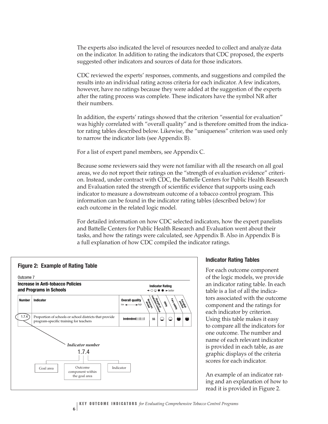The experts also indicated the level of resources needed to collect and analyze data on the indicator. In addition to rating the indicators that CDC proposed, the experts suggested other indicators and sources of data for those indicators.

CDC reviewed the experts' responses, comments, and suggestions and compiled the results into an individual rating across criteria for each indicator. A few indicators, however, have no ratings because they were added at the suggestion of the experts after the rating process was complete. These indicators have the symbol NR after their numbers.

In addition, the experts' ratings showed that the criterion "essential for evaluation" was highly correlated with "overall quality" and is therefore omitted from the indicator rating tables described below. Likewise, the "uniqueness" criterion was used only to narrow the indicator lists (see Appendix B).

For a list of expert panel members, see Appendix C.

Because some reviewers said they were not familiar with all the research on all goal areas, we do not report their ratings on the "strength of evaluation evidence" criterion. Instead, under contract with CDC, the Battelle Centers for Public Health Research and Evaluation rated the strength of scientific evidence that supports using each indicator to measure a downstream outcome of a tobacco control program. This information can be found in the indicator rating tables (described below) for each outcome in the related logic model.

For detailed information on how CDC selected indicators, how the expert panelists and Battelle Centers for Public Health Research and Evaluation went about their tasks, and how the ratings were calculated, see Appendix B. Also in Appendix B is a full explanation of how CDC compiled the indicator ratings.



#### **Indicator Rating Tables**

For each outcome component of the logic models, we provide an indicator rating table. In each table is a list of all the indicators associated with the outcome component and the ratings for each indicator by criterion. Using this table makes it easy to compare all the indicators for one outcome. The number and name of each relevant indicator is provided in each table, as are graphic displays of the criteria scores for each indicator.

An example of an indicator rating and an explanation of how to read it is provided in Figure 2.

**6**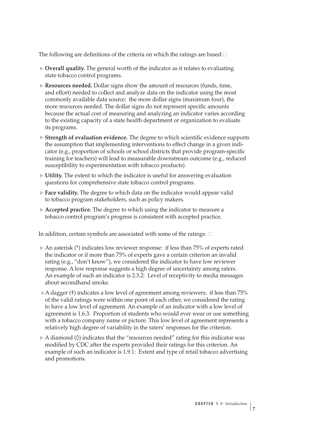The following are definitions of the criteria on which the ratings are based: $\Box$ 

- **Diverall quality.** The general worth of the indicator as it relates to evaluating state tobacco control programs.
- **Resources needed.** Dollar signs show the amount of resources (funds, time, and effort) needed to collect and analyze data on the indicator using the most commonly available data source: the more dollar signs (maximum four), the more resources needed. The dollar signs do not represent specific amounts because the actual cost of measuring and analyzing an indicator varies according to the existing capacity of a state health department or organization to evaluate its programs.
- ▲ **Strength of evaluation evidence.** The degree to which scientific evidence supports the assumption that implementing interventions to effect change in a given indicator (e.g., proportion of schools or school districts that provide program-specific training for teachers) will lead to measurable downstream outcome (e.g., reduced susceptibility to experimentation with tobacco products).
- **Utility.** The extent to which the indicator is useful for answering evaluation questions for comprehensive state tobacco control programs.
- **Face validity.** The degree to which data on the indicator would appear valid to tobacco program stakeholders, such as policy makers.
- **Accepted practice.** The degree to which using the indicator to measure a tobacco control program's progress is consistent with accepted practice.

In addition, certain symbols are associated with some of the ratings:  $\Box$ 

- ▲ An asterisk (\*) indicates low reviewer response: if less than 75% of experts rated the indicator or if more than 75% of experts gave a certain criterion an invalid rating (e.g., "don't know"), we considered the indicator to have low reviewer response. A low response suggests a high degree of uncertainty among raters. An example of such an indicator is 2.3.2: Level of receptivity to media messages about secondhand smoke.
- $\triangleright$  A dagger (†) indicates a low level of agreement among reviewers: if less than 75% of the valid ratings were within one point of each other, we considered the rating to have a low level of agreement. An example of an indicator with a low level of agreement is 1.6.3: Proportion of students who would ever wear or use something with a tobacco company name or picture. This low level of agreement represents a relatively high degree of variability in the raters' responses for the criterion.
- $>$  A diamond ( $\Diamond$ ) indicates that the "resources needed" rating for this indicator was modified by CDC after the experts provided their ratings for this criterion. An example of such an indicator is 1.9.1: Extent and type of retail tobacco advertising and promotions.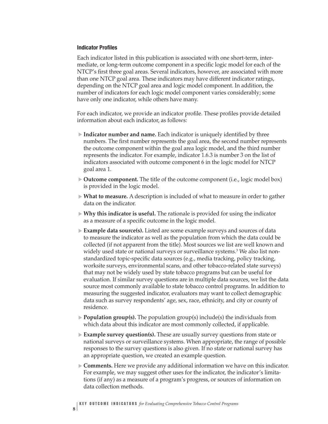#### **Indicator Profiles**

Each indicator listed in this publication is associated with one short-term, intermediate, or long-term outcome component in a specific logic model for each of the NTCP's first three goal areas. Several indicators, however, are associated with more than one NTCP goal area. These indicators may have different indicator ratings, depending on the NTCP goal area and logic model component. In addition, the number of indicators for each logic model component varies considerably; some have only one indicator, while others have many.

For each indicator, we provide an indicator profile. These profiles provide detailed information about each indicator, as follows:

- **Indicator number and name.** Each indicator is uniquely identified by three numbers. The first number represents the goal area, the second number represents the outcome component within the goal area logic model, and the third number represents the indicator. For example, indicator 1.6.3 is number 3 on the list of indicators associated with outcome component 6 in the logic model for NTCP goal area 1.
- ▶ **Outcome component.** The title of the outcome component (i.e., logic model box) is provided in the logic model.
- ► **What to measure.** A description is included of what to measure in order to gather data on the indicator.
- **Why this indicator is useful.** The rationale is provided for using the indicator ▲ as a measure of a specific outcome in the logic model.
- **Example data source(s).** Listed are some example surveys and sources of data ▲ to measure the indicator as well as the population from which the data could be collected (if not apparent from the title). Most sources we list are well known and widely used state or national surveys or surveillance systems.<sup>3</sup> We also list nonstandardized topic-specific data sources (e.g., media tracking, policy tracking, worksite surveys, environmental scans, and other tobacco-related state surveys) that may not be widely used by state tobacco programs but can be useful for evaluation. If similar survey questions are in multiple data sources, we list the data source most commonly available to state tobacco control programs. In addition to measuring the suggested indicator, evaluators may want to collect demographic data such as survey respondents' age, sex, race, ethnicity, and city or county of residence.
- ▶ **Population group(s).** The population group(s) include(s) the individuals from which data about this indicator are most commonly collected, if applicable.
- **Example survey question(s).** These are usually survey questions from state or national surveys or surveillance systems. When appropriate, the range of possible responses to the survey questions is also given. If no state or national survey has an appropriate question, we created an example question.
- **Comments.** Here we provide any additional information we have on this indicator. ▲ For example, we may suggest other uses for the indicator, the indicator's limitations (if any) as a measure of a program's progress, or sources of information on data collection methods.

**8**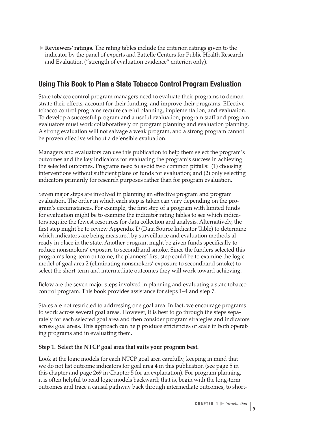**Reviewers' ratings.** The rating tables include the criterion ratings given to the indicator by the panel of experts and Battelle Centers for Public Health Research and Evaluation ("strength of evaluation evidence" criterion only).

### **Using This Book to Plan a State Tobacco Control Program Evaluation**

State tobacco control program managers need to evaluate their programs to demonstrate their effects, account for their funding, and improve their programs. Effective tobacco control programs require careful planning, implementation, and evaluation. To develop a successful program and a useful evaluation, program staff and program evaluators must work collaboratively on program planning and evaluation planning. A strong evaluation will not salvage a weak program, and a strong program cannot be proven effective without a defensible evaluation.

Managers and evaluators can use this publication to help them select the program's outcomes and the key indicators for evaluating the program's success in achieving the selected outcomes. Programs need to avoid two common pitfalls: (1) choosing interventions without sufficient plans or funds for evaluation; and (2) only selecting indicators primarily for research purposes rather than for program evaluation.<sup>1</sup>

Seven major steps are involved in planning an effective program and program evaluation. The order in which each step is taken can vary depending on the program's circumstances. For example, the first step of a program with limited funds for evaluation might be to examine the indicator rating tables to see which indicators require the fewest resources for data collection and analysis. Alternatively, the first step might be to review Appendix D (Data Source Indicator Table) to determine which indicators are being measured by surveillance and evaluation methods already in place in the state. Another program might be given funds specifically to reduce nonsmokers' exposure to secondhand smoke. Since the funders selected this program's long-term outcome, the planners' first step could be to examine the logic model of goal area 2 (eliminating nonsmokers' exposure to secondhand smoke) to select the short-term and intermediate outcomes they will work toward achieving.

Below are the seven major steps involved in planning and evaluating a state tobacco control program. This book provides assistance for steps 1–4 and step 7.

States are not restricted to addressing one goal area. In fact, we encourage programs to work across several goal areas. However, it is best to go through the steps separately for each selected goal area and then consider program strategies and indicators across goal areas. This approach can help produce efficiencies of scale in both operating programs and in evaluating them.

#### **Step 1. Select the NTCP goal area that suits your program best.**

Look at the logic models for each NTCP goal area carefully, keeping in mind that we do not list outcome indicators for goal area 4 in this publication (see page 5 in this chapter and page 269 in Chapter 5 for an explanation). For program planning, it is often helpful to read logic models backward; that is, begin with the long-term outcomes and trace a causal pathway back through intermediate outcomes, to short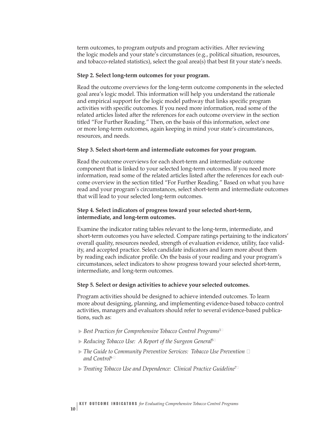term outcomes, to program outputs and program activities. After reviewing the logic models and your state's circumstances (e.g., political situation, resources, and tobacco-related statistics), select the goal area(s) that best fit your state's needs.

#### **Step 2. Select long-term outcomes for your program.**

Read the outcome overviews for the long-term outcome components in the selected goal area's logic model. This information will help you understand the rationale and empirical support for the logic model pathway that links specific program activities with specific outcomes. If you need more information, read some of the related articles listed after the references for each outcome overview in the section titled "For Further Reading." Then, on the basis of this information, select one or more long-term outcomes, again keeping in mind your state's circumstances, resources, and needs.

#### **Step 3. Select short-term and intermediate outcomes for your program.**

Read the outcome overviews for each short-term and intermediate outcome component that is linked to your selected long-term outcomes. If you need more information, read some of the related articles listed after the references for each outcome overview in the section titled "For Further Reading." Based on what you have read and your program's circumstances, select short-term and intermediate outcomes that will lead to your selected long-term outcomes.

#### **Step 4. Select indicators of progress toward your selected short-term, intermediate, and long-term outcomes.**

Examine the indicator rating tables relevant to the long-term, intermediate, and short-term outcomes you have selected. Compare ratings pertaining to the indicators' overall quality, resources needed, strength of evaluation evidence, utility, face validity, and accepted practice. Select candidate indicators and learn more about them by reading each indicator profile. On the basis of your reading and your program's circumstances, select indicators to show progress toward your selected short-term, intermediate, and long-term outcomes.

#### **Step 5. Select or design activities to achieve your selected outcomes.**

Program activities should be designed to achieve intended outcomes. To learn more about designing, planning, and implementing evidence-based tobacco control activities, managers and evaluators should refer to several evidence-based publications, such as:

- *Best Practices for Comprehensive Tobacco Control Programs*<sup>1</sup>� ▲
- *Reducing Tobacco Use: A Report of the Surgeon General*<sup>5</sup>� ▲
- $>$  The Guide to Community Preventive Services: Tobacco Use Prevention  $\Box$ *and Control*<sup>6</sup>�
- ► Treating Tobacco Use and Dependence: Clinical Practice Guideline™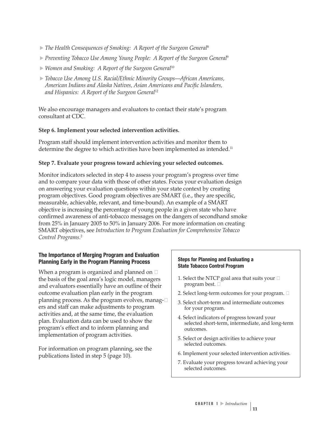- > The Health Consequences of Smoking: A Report of the Surgeon General<sup>8</sup>
- ▲ *Preventing Tobacco Use Among Young People: A Report of the Surgeon General*<sup>9</sup>
- ▲ *Women and Smoking: A Report of the Surgeon General*<sup>10</sup>
- ▲ *Tobacco Use Among U.S. Racial/Ethnic Minority Groups*—*African Americans, American Indians and Alaska Natives, Asian Americans and Pacific Islanders, and Hispanics: A Report of the Surgeon General*<sup>12</sup>

We also encourage managers and evaluators to contact their state's program consultant at CDC.

#### **Step 6. Implement your selected intervention activities.**

Program staff should implement intervention activities and monitor them to determine the degree to which activities have been implemented as intended.<sup>11</sup>

#### **Step 7. Evaluate your progress toward achieving your selected outcomes.**

Monitor indicators selected in step 4 to assess your program's progress over time and to compare your data with those of other states. Focus your evaluation design on answering your evaluation questions within your state context by creating program objectives. Good program objectives are SMART (i.e., they are specific, measurable, achievable, relevant, and time-bound). An example of a SMART objective is increasing the percentage of young people in a given state who have confirmed awareness of anti-tobacco messages on the dangers of secondhand smoke from 25% in January 2005 to 50% in January 2006. For more information on creating SMART objectives, see *Introduction to Program Evaluation for Comprehensive Tobacco* <sup>2</sup> *Control Programs*.

#### **The Importance of Merging Program and Evaluation Planning Early in the Program Planning Process Steps for Planning and Evaluating a**

When a program is organized and planned on  $\Box$ the basis of the goal area's logic model, managers  $\parallel$  1. Select the NTCP goal area that suits your  $\Box$ and evaluators essentially have an outline of their outcome evaluation plan early in the program  $\vert$  2. Select long-term outcomes for your program.  $\Box$ planning process. As the program evolves, manag- $\Box$ ers and staff can make adjustments to program activities and, at the same time, the evaluation plan. Evaluation data can be used to show the program's effect and to inform planning and implementation of program activities.

For information on program planning, see the publications listed in step 5 (page 10). <sup>6.</sup> Conserverse publications listed in step 5 (page 10).

## **State Tobacco Control Program**

- 
- 
- 3. Select short-term and intermediate outcomes for your program.
- 
- 5. Select or design activities to achieve your selected outcomes.
- 
- 7. Evaluate your progress toward achieving your selected outcomes.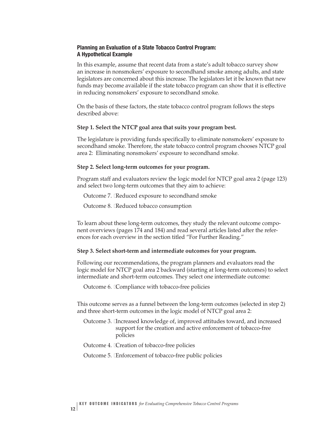#### **Planning an Evaluation of a State Tobacco Control Program: A Hypothetical Example**

In this example, assume that recent data from a state's adult tobacco survey show an increase in nonsmokers' exposure to secondhand smoke among adults, and state legislators are concerned about this increase. The legislators let it be known that new funds may become available if the state tobacco program can show that it is effective in reducing nonsmokers' exposure to secondhand smoke.

On the basis of these factors, the state tobacco control program follows the steps described above:

#### **Step 1. Select the NTCP goal area that suits your program best.**

The legislature is providing funds specifically to eliminate nonsmokers' exposure to secondhand smoke. Therefore, the state tobacco control program chooses NTCP goal area 2: Eliminating nonsmokers' exposure to secondhand smoke.

#### **Step 2. Select long-term outcomes for your program.**

Program staff and evaluators review the logic model for NTCP goal area 2 (page 123) and select two long-term outcomes that they aim to achieve:

Outcome 7. Exeduced exposure to secondhand smoke

Outcome 8. Exeduced tobacco consumption

To learn about these long-term outcomes, they study the relevant outcome component overviews (pages 174 and 184) and read several articles listed after the references for each overview in the section titled "For Further Reading."

#### **Step 3. Select short-term and intermediate outcomes for your program.**

Following our recommendations, the program planners and evaluators read the logic model for NTCP goal area 2 backward (starting at long-term outcomes) to select intermediate and short-term outcomes. They select one intermediate outcome:

Outcome 6. Compliance with tobacco-free policies

This outcome serves as a funnel between the long-term outcomes (selected in step 2) and three short-term outcomes in the logic model of NTCP goal area 2:

- Outcome 3. Increased knowledge of, improved attitudes toward, and increased support for the creation and active enforcement of tobacco-free policies
- Outcome 4. �Creation of tobacco-free policies
- Outcome 5. �Enforcement of tobacco-free public policies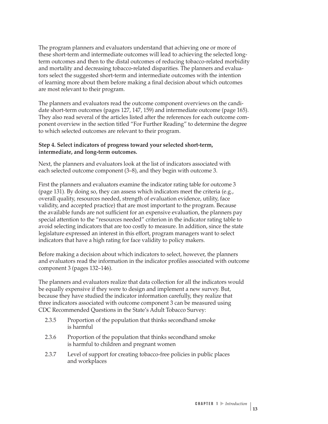The program planners and evaluators understand that achieving one or more of these short-term and intermediate outcomes will lead to achieving the selected longterm outcomes and then to the distal outcomes of reducing tobacco-related morbidity and mortality and decreasing tobacco-related disparities. The planners and evaluators select the suggested short-term and intermediate outcomes with the intention of learning more about them before making a final decision about which outcomes are most relevant to their program.

The planners and evaluators read the outcome component overviews on the candidate short-term outcomes (pages 127, 147, 159) and intermediate outcome (page 165). They also read several of the articles listed after the references for each outcome component overview in the section titled "For Further Reading" to determine the degree to which selected outcomes are relevant to their program.

#### **Step 4. Select indicators of progress toward your selected short-term, intermediate, and long-term outcomes.**

Next, the planners and evaluators look at the list of indicators associated with each selected outcome component (3–8), and they begin with outcome 3.

First the planners and evaluators examine the indicator rating table for outcome 3 (page 131). By doing so, they can assess which indicators meet the criteria (e.g., overall quality, resources needed, strength of evaluation evidence, utility, face validity, and accepted practice) that are most important to the program. Because the available funds are not sufficient for an expensive evaluation, the planners pay special attention to the "resources needed" criterion in the indicator rating table to avoid selecting indicators that are too costly to measure. In addition, since the state legislature expressed an interest in this effort, program managers want to select indicators that have a high rating for face validity to policy makers.

Before making a decision about which indicators to select, however, the planners and evaluators read the information in the indicator profiles associated with outcome component 3 (pages 132–146).

The planners and evaluators realize that data collection for all the indicators would be equally expensive if they were to design and implement a new survey. But, because they have studied the indicator information carefully, they realize that three indicators associated with outcome component 3 can be measured using CDC Recommended Questions in the State's Adult Tobacco Survey:

- 2.3.5 Proportion of the population that thinks secondhand smoke is harmful
- 2.3.6 Proportion of the population that thinks secondhand smoke is harmful to children and pregnant women
- 2.3.7 Level of support for creating tobacco-free policies in public places and workplaces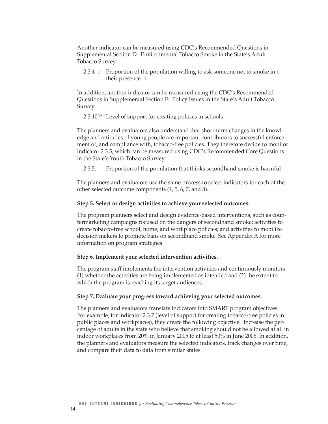Another indicator can be measured using CDC's Recommended Questions in Supplemental Section D: Environmental Tobacco Smoke in the State's Adult Tobacco Survey:

2.3.4  $\Box$  Proportion of the population willing to ask someone not to smoke in  $\Box$ their presence  $\Box$ 

In addition, another indicator can be measured using the CDC's Recommended Questions in Supplemental Section F: Policy Issues in the State's Adult Tobacco Survey:

 $2.3.10^{NR}$  Level of support for creating policies in schools

The planners and evaluators also understand that short-term changes in the knowledge and attitudes of young people are important contributors to successful enforcement of, and compliance with, tobacco-free policies. They therefore decide to monitor indicator 2.3.5, which can be measured using CDC's Recommended Core Questions in the State's Youth Tobacco Survey:

2.3.5. Proportion of the population that thinks secondhand smoke is harmful

The planners and evaluators use the same process to select indicators for each of the other selected outcome components (4, 5, 6, 7, and 8).

#### **Step 5. Select or design activities to achieve your selected outcomes.**

The program planners select and design evidence-based interventions, such as countermarketing campaigns focused on the dangers of secondhand smoke; activities to create tobacco-free school, home, and workplace policies; and activities to mobilize decision makers to promote bans on secondhand smoke. See Appendix A for more information on program strategies.

#### **Step 6. Implement your selected intervention activities.**

The program staff implements the intervention activities and continuously monitors (1) whether the activities are being implemented as intended and (2) the extent to which the program is reaching its target audiences.

#### **Step 7. Evaluate your progress toward achieving your selected outcomes.**

The planners and evaluators translate indicators into SMART program objectives. For example, for indicator 2.3.7 (level of support for creating tobacco-free policies in public places and workplaces), they create the following objective: Increase the percentage of adults in the state who believe that smoking should not be allowed at all in indoor workplaces from 20% in January 2005 to at least 50% in June 2006. In addition, the planners and evaluators measure the selected indicators, track changes over time, and compare their data to data from similar states.